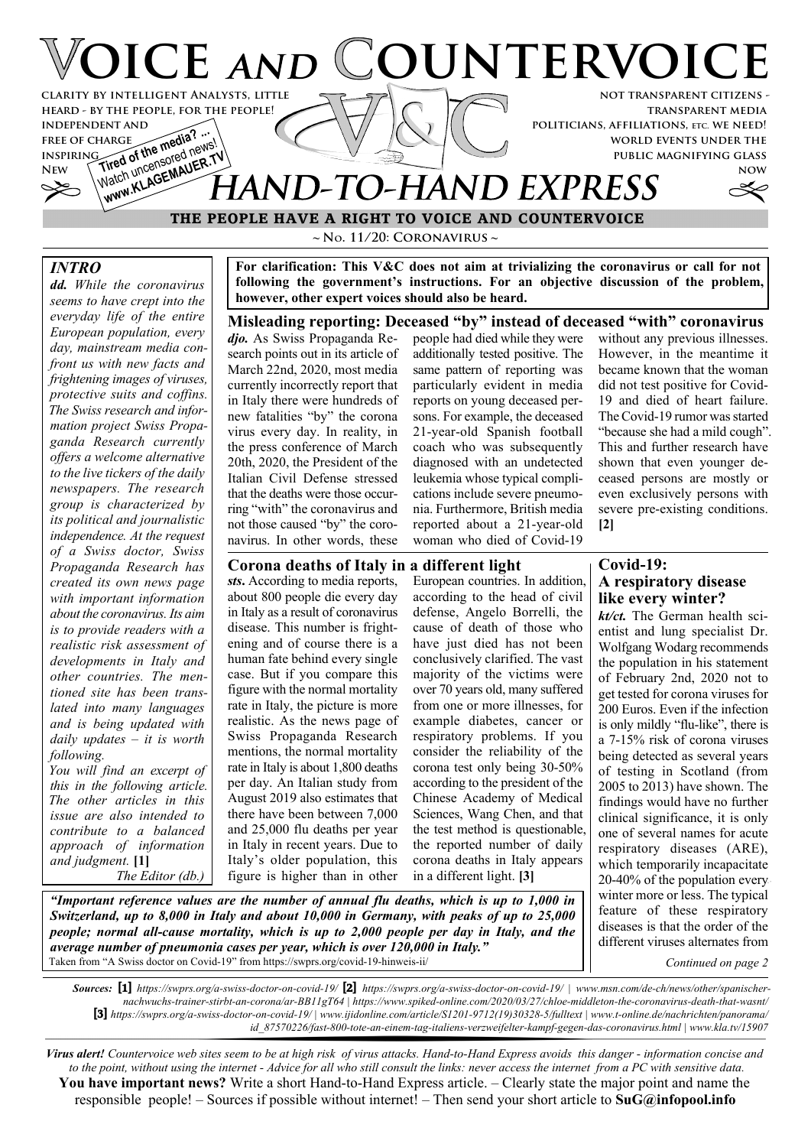## **VOICE AND COUNTERVOICE not transparent citizens clarity by intelligent Analysts, little**

**transparent media politicians, affiliations, etc. we need! world events under the public magnifying glass**

**now**

# **FREE OF CHARGE The media? ...**<br>INSPIRING of the media new Watch uncensored news! Watch uncertain AUER. THAND-TO-HAND EXPRESS

**~ No. 11/20: Coronavirus ~ THE PEOPLE HAVE A RIGHT TO VOICE AND COUNTERVOICE**

### *INTRO*

**independent and free of charge inspiring**

*dd. While the coronavirus seems to have crept into the everyday life of the entire European population, every day, mainstream media confront us with new facts and frightening images of viruses, protective suits and coffins. The Swiss research and information project Swiss Propaganda Research currently offers a welcome alternative to the live tickers of the daily newspapers. The research group is characterized by its political and journalistic independence. At the request of a Swiss doctor, Swiss Propaganda Research has created its own news page with important information about the coronavirus. Its aim is to provide readers with a realistic risk assessment of developments in Italy and other countries. The mentioned site has been translated into many languages and is being updated with daily updates – it is worth following.*

**heard - by the people, for the people!**

*You will find an excerpt of this in the following article. The other articles in this issue are also intended to contribute to a balanced approach of information and judgment.* **[1]**  *The Editor (db.)*

**For clarification: This V&C does not aim at trivializing the coronavirus or call for not following the government's instructions. For an objective discussion of the problem, however, other expert voices should also be heard.**

**Misleading reporting: Deceased "by" instead of deceased "with" coronavirus**

*djo.* As Swiss Propaganda Research points out in its article of March 22nd, 2020, most media currently incorrectly report that in Italy there were hundreds of new fatalities "by" the corona virus every day. In reality, in the press conference of March 20th, 2020, the President of the Italian Civil Defense stressed that the deaths were those occurring "with" the coronavirus and not those caused "by" the coronavirus. In other words, these people had died while they were additionally tested positive. The same pattern of reporting was particularly evident in media reports on young deceased persons. For example, the deceased 21-year-old Spanish football coach who was subsequently diagnosed with an undetected leukemia whose typical complications include severe pneumonia. Furthermore, British media reported about a 21-year-old woman who died of Covid-19

without any previous illnesses. However, in the meantime it became known that the woman did not test positive for Covid-19 and died of heart failure. The Covid-19 rumor was started "because she had a mild cough". This and further research have shown that even younger deceased persons are mostly or even exclusively persons with severe pre-existing conditions. **[2]**

#### **Corona deaths of Italy in a different light**

*sts***.** According to media reports, about 800 people die every day in Italy as a result of coronavirus disease. This number is frightening and of course there is a human fate behind every single case. But if you compare this figure with the normal mortality rate in Italy, the picture is more realistic. As the news page of Swiss Propaganda Research mentions, the normal mortality rate in Italy is about 1,800 deaths per day. An Italian study from August 2019 also estimates that there have been between 7,000 and 25,000 flu deaths per year in Italy in recent years. Due to Italy's older population, this figure is higher than in other

*"Important reference values are the number of annual flu deaths, which is up to 1,000 in Switzerland, up to 8,000 in Italy and about 10,000 in Germany, with peaks of up to 25,000 people; normal all-cause mortality, which is up to 2,000 people per day in Italy, and the*

*average number of pneumonia cases per year, which is over 120,000 in Italy."*

Taken from "A Swiss doctor on Covid-19" from https://swprs.org/covid-19-hinweis-ii/

European countries. In addition, according to the head of civil defense, Angelo Borrelli, the cause of death of those who have just died has not been conclusively clarified. The vast majority of the victims were over 70 years old, many suffered from one or more illnesses, for example diabetes, cancer or respiratory problems. If you consider the reliability of the corona test only being 30-50% according to the president of the Chinese Academy of Medical Sciences, Wang Chen, and that the test method is questionable, the reported number of daily corona deaths in Italy appears in a different light. **[3]**

#### **Covid-19: A respiratory disease like every winter?**

*kt/ct.* The German health scientist and lung specialist Dr. Wolfgang Wodarg recommends the population in his statement of February 2nd, 2020 not to get tested for corona viruses for 200 Euros. Even if the infection is only mildly "flu-like", there is a 7-15% risk of corona viruses being detected as several years of testing in Scotland (from 2005 to 2013) have shown. The findings would have no further clinical significance, it is only one of several names for acute respiratory diseases (ARE), which temporarily incapacitate 20-40% of the population every winter more or less. The typical feature of these respiratory diseases is that the order of the different viruses alternates from

*Continued on page 2*

*Sources:* **[1]** *https://swprs.org/a-swiss-doctor-on-covid-19/* **[2]** *https://swprs.org/a-swiss-doctor-on-covid-19/ | www.msn.com/de-ch/news/other/spanischernachwuchs-trainer-stirbt-an-corona/ar-BB11gT64 | https://www.spiked-online.com/2020/03/27/chloe-middleton-the-coronavirus-death-that-wasnt/* **[3]** *https://swprs.org/a-swiss-doctor-on-covid-19/ | www.ijidonline.com/article/S1201-9712(19)30328-5/fulltext | www.t-online.de/nachrichten/panorama/ id\_87570226/fast-800-tote-an-einem-tag-italiens-verzweifelter-kampf-gegen-das-coronavirus.html | www.kla.tv/15907*

*Virus alert! Countervoice web sites seem to be at high risk of virus attacks. Hand-to-Hand Express avoids this danger - information concise and to the point, without using the internet - Advice for all who still consult the links: never access the internet from a PC with sensitive data.* **You have important news?** Write a short Hand-to-Hand Express article. – Clearly state the major point and name the responsible people! – Sources if possible without internet! – Then send your short article to **SuG@infopool.info**